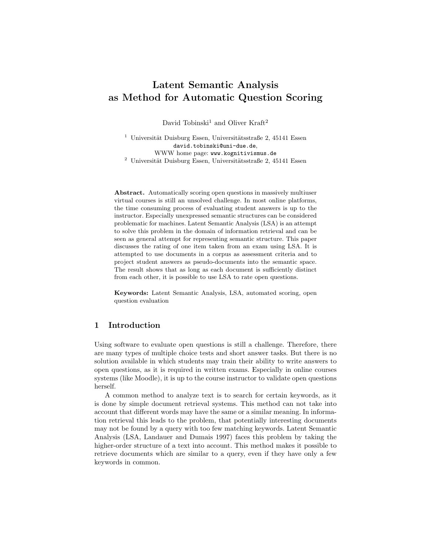# Latent Semantic Analysis as Method for Automatic Question Scoring

David Tobinski<sup>1</sup> and Oliver Kraft<sup>2</sup>

<sup>1</sup> Universität Duisburg Essen, Universitätsstraße 2, 45141 Essen david.tobinski@uni-due.de, WWW home page: www.kognitivismus.de  $^2$ Universität Duisburg Essen, Universitätsstraße 2, 45141 Essen

Abstract. Automatically scoring open questions in massively multiuser virtual courses is still an unsolved challenge. In most online platforms, the time consuming process of evaluating student answers is up to the instructor. Especially unexpressed semantic structures can be considered problematic for machines. Latent Semantic Analysis (LSA) is an attempt to solve this problem in the domain of information retrieval and can be seen as general attempt for representing semantic structure. This paper discusses the rating of one item taken from an exam using LSA. It is attempted to use documents in a corpus as assessment criteria and to project student answers as pseudo-documents into the semantic space. The result shows that as long as each document is sufficiently distinct from each other, it is possible to use LSA to rate open questions.

Keywords: Latent Semantic Analysis, LSA, automated scoring, open question evaluation

## 1 Introduction

Using software to evaluate open questions is still a challenge. Therefore, there are many types of multiple choice tests and short answer tasks. But there is no solution available in which students may train their ability to write answers to open questions, as it is required in written exams. Especially in online courses systems (like Moodle), it is up to the course instructor to validate open questions herself.

A common method to analyze text is to search for certain keywords, as it is done by simple document retrieval systems. This method can not take into account that different words may have the same or a similar meaning. In information retrieval this leads to the problem, that potentially interesting documents may not be found by a query with too few matching keywords. Latent Semantic Analysis (LSA, Landauer and Dumais 1997) faces this problem by taking the higher-order structure of a text into account. This method makes it possible to retrieve documents which are similar to a query, even if they have only a few keywords in common.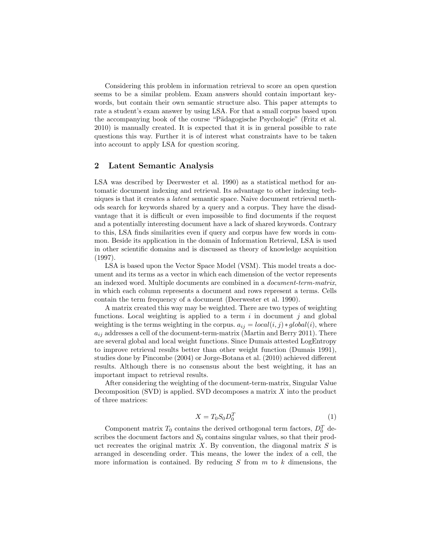Considering this problem in information retrieval to score an open question seems to be a similar problem. Exam answers should contain important keywords, but contain their own semantic structure also. This paper attempts to rate a student's exam answer by using LSA. For that a small corpus based upon the accompanying book of the course "Pädagogische Psychologie" (Fritz et al. 2010) is manually created. It is expected that it is in general possible to rate questions this way. Further it is of interest what constraints have to be taken into account to apply LSA for question scoring.

#### 2 Latent Semantic Analysis

LSA was described by Deerwester et al. 1990) as a statistical method for automatic document indexing and retrieval. Its advantage to other indexing techniques is that it creates a latent semantic space. Naive document retrieval methods search for keywords shared by a query and a corpus. They have the disadvantage that it is difficult or even impossible to find documents if the request and a potentially interesting document have a lack of shared keywords. Contrary to this, LSA finds similarities even if query and corpus have few words in common. Beside its application in the domain of Information Retrieval, LSA is used in other scientific domains and is discussed as theory of knowledge acquisition (1997).

LSA is based upon the Vector Space Model (VSM). This model treats a document and its terms as a vector in which each dimension of the vector represents an indexed word. Multiple documents are combined in a document-term-matrix, in which each column represents a document and rows represent a terms. Cells contain the term frequency of a document (Deerwester et al. 1990).

A matrix created this way may be weighted. There are two types of weighting functions. Local weighting is applied to a term  $i$  in document  $j$  and global weighting is the terms weighting in the corpus.  $a_{ij} = local(i, j) * global(i)$ , where  $a_{ij}$  addresses a cell of the document-term-matrix (Martin and Berry 2011). There are several global and local weight functions. Since Dumais attested LogEntropy to improve retrieval results better than other weight function (Dumais 1991), studies done by Pincombe (2004) or Jorge-Botana et al. (2010) achieved different results. Although there is no consensus about the best weighting, it has an important impact to retrieval results.

After considering the weighting of the document-term-matrix, Singular Value Decomposition  $(SVD)$  is applied. SVD decomposes a matrix X into the product of three matrices:

$$
X = T_0 S_0 D_0^T \tag{1}
$$

Component matrix  $T_0$  contains the derived orthogonal term factors,  $D_0^T$  describes the document factors and  $S_0$  contains singular values, so that their product recreates the original matrix X. By convention, the diagonal matrix  $S$  is arranged in descending order. This means, the lower the index of a cell, the more information is contained. By reducing S from  $m$  to  $k$  dimensions, the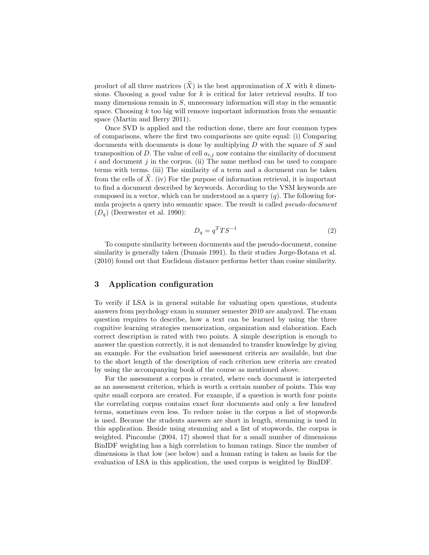product of all three matrices  $(\widehat{X})$  is the best approximation of X with k dimensions. Choosing a good value for  $k$  is critical for later retrieval results. If too many dimensions remain in  $S$ , unnecessary information will stay in the semantic space. Choosing  $k$  too big will remove important information from the semantic space (Martin and Berry 2011).

Once SVD is applied and the reduction done, there are four common types of comparisons, where the first two comparisons are quite equal: (i) Comparing documents with documents is done by multiplying D with the square of S and transposition of D. The value of cell  $a_{i,j}$  now contains the similarity of document  $i$  and document  $j$  in the corpus. (ii) The same method can be used to compare terms with terms. (iii) The similarity of a term and a document can be taken from the cells of  $\hat{X}$ . (iv) For the purpose of information retrieval, it is important to find a document described by keywords. According to the VSM keywords are composed in a vector, which can be understood as a query  $(q)$ . The following formula projects a query into semantic space. The result is called pseudo-document  $(D_a)$  (Deerwester et al. 1990):

$$
D_q = q^T T S^{-1} \tag{2}
$$

To compute similarity between documents and the pseudo-document, consine similarity is generally taken (Dumais 1991). In their studies Jorge-Botana et al. (2010) found out that Euclidean distance performs better than cosine similarity.

#### 3 Application configuration

To verify if LSA is in general suitable for valuating open questions, students answers from psychology exam in summer semester 2010 are analyzed. The exam question requires to describe, how a text can be learned by using the three cognitive learning strategies memorization, organization and elaboration. Each correct description is rated with two points. A simple description is enough to answer the question correctly, it is not demanded to transfer knowledge by giving an example. For the evaluation brief assessment criteria are available, but due to the short length of the description of each criterion new criteria are created by using the accompanying book of the course as mentioned above.

For the assessment a corpus is created, where each document is interpreted as an assessment criterion, which is worth a certain number of points. This way quite small corpora are created. For example, if a question is worth four points the correlating corpus contains exact four documents and only a few hundred terms, sometimes even less. To reduce noise in the corpus a list of stopwords is used. Because the students answers are short in length, stemming is used in this application. Beside using stemming and a list of stopwords, the corpus is weighted. Pincombe (2004, 17) showed that for a small number of dimensions BinIDF weighting has a high correlation to human ratings. Since the number of dimensions is that low (see below) and a human rating is taken as basis for the evaluation of LSA in this application, the used corpus is weighted by BinIDF.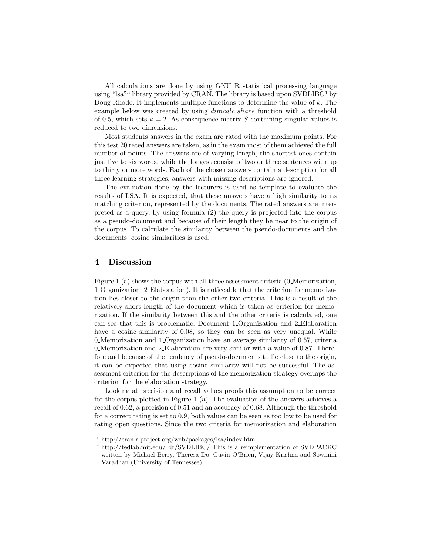All calculations are done by using GNU R statistical processing language using "lsa"<sup>3</sup> library provided by CRAN. The library is based upon SVDLIBC<sup>4</sup> by Doug Rhode. It implements multiple functions to determine the value of  $k$ . The example below was created by using dimcalc share function with a threshold of 0.5, which sets  $k = 2$ . As consequence matrix S containing singular values is reduced to two dimensions.

Most students answers in the exam are rated with the maximum points. For this test 20 rated answers are taken, as in the exam most of them achieved the full number of points. The answers are of varying length, the shortest ones contain just five to six words, while the longest consist of two or three sentences with up to thirty or more words. Each of the chosen answers contain a description for all three learning strategies, answers with missing descriptions are ignored.

The evaluation done by the lecturers is used as template to evaluate the results of LSA. It is expected, that these answers have a high similarity to its matching criterion, represented by the documents. The rated answers are interpreted as a query, by using formula (2) the query is projected into the corpus as a pseudo-document and because of their length they be near to the origin of the corpus. To calculate the similarity between the pseudo-documents and the documents, cosine similarities is used.

#### 4 Discussion

Figure 1 (a) shows the corpus with all three assessment criteria (0\_Memorization, 1 Organization, 2 Elaboration). It is noticeable that the criterion for memorization lies closer to the origin than the other two criteria. This is a result of the relatively short length of the document which is taken as criterion for memorization. If the similarity between this and the other criteria is calculated, one can see that this is problematic. Document 1 Organization and 2 Elaboration have a cosine similarity of 0.08, so they can be seen as very unequal. While 0 Memorization and 1 Organization have an average similarity of 0.57, criteria 0 Memorization and 2 Elaboration are very similar with a value of 0.87. Therefore and because of the tendency of pseudo-documents to lie close to the origin, it can be expected that using cosine similarity will not be successful. The assessment criterion for the descriptions of the memorization strategy overlaps the criterion for the elaboration strategy.

Looking at precision and recall values proofs this assumption to be correct for the corpus plotted in Figure 1 (a). The evaluation of the answers achieves a recall of 0.62, a precision of 0.51 and an accuracy of 0.68. Although the threshold for a correct rating is set to 0.9, both values can be seen as too low to be used for rating open questions. Since the two criteria for memorization and elaboration

<sup>3</sup> http://cran.r-project.org/web/packages/lsa/index.html

<sup>4</sup> http://tedlab.mit.edu/ dr/SVDLIBC/ This is a reimplementation of SVDPACKC written by Michael Berry, Theresa Do, Gavin O'Brien, Vijay Krishna and Sowmini Varadhan (University of Tennessee).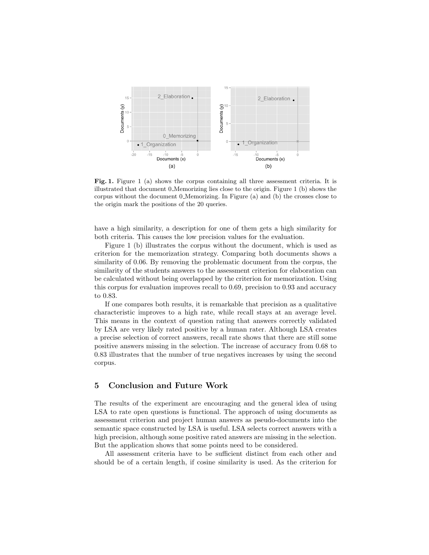

Fig. 1. Figure 1 (a) shows the corpus containing all three assessment criteria. It is illustrated that document  $0$ . Memorizing lies close to the origin. Figure 1 (b) shows the corpus without the document 0 Memorizing. In Figure (a) and (b) the crosses close to the origin mark the positions of the 20 queries.

have a high similarity, a description for one of them gets a high similarity for both criteria. This causes the low precision values for the evaluation.

Figure 1 (b) illustrates the corpus without the document, which is used as criterion for the memorization strategy. Comparing both documents shows a similarity of 0.06. By removing the problematic document from the corpus, the similarity of the students answers to the assessment criterion for elaboration can be calculated without being overlapped by the criterion for memorization. Using this corpus for evaluation improves recall to 0.69, precision to 0.93 and accuracy to 0.83.

If one compares both results, it is remarkable that precision as a qualitative characteristic improves to a high rate, while recall stays at an average level. This means in the context of question rating that answers correctly validated by LSA are very likely rated positive by a human rater. Although LSA creates a precise selection of correct answers, recall rate shows that there are still some positive answers missing in the selection. The increase of accuracy from 0.68 to 0.83 illustrates that the number of true negatives increases by using the second corpus.

# 5 Conclusion and Future Work

The results of the experiment are encouraging and the general idea of using LSA to rate open questions is functional. The approach of using documents as assessment criterion and project human answers as pseudo-documents into the semantic space constructed by LSA is useful. LSA selects correct answers with a high precision, although some positive rated answers are missing in the selection. But the application shows that some points need to be considered.

All assessment criteria have to be sufficient distinct from each other and should be of a certain length, if cosine similarity is used. As the criterion for